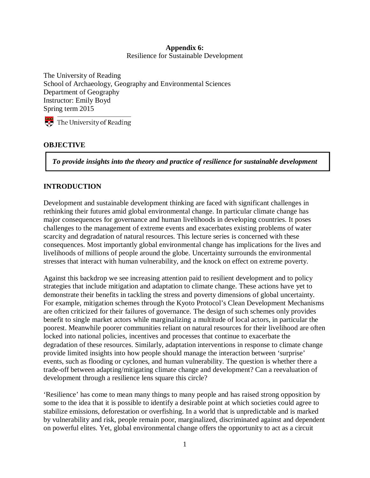### **Appendix 6:**  Resilience for Sustainable Development

The University of Reading School of Archaeology, Geography and Environmental Sciences Department of Geography Instructor: Emily Boyd Spring term 2015

The University of Reading

## **OBJECTIVE**

*To provide insights into the theory and practice of resilience for sustainable development* 

## **INTRODUCTION**

Development and sustainable development thinking are faced with significant challenges in rethinking their futures amid global environmental change. In particular climate change has major consequences for governance and human livelihoods in developing countries. It poses challenges to the management of extreme events and exacerbates existing problems of water scarcity and degradation of natural resources. This lecture series is concerned with these consequences. Most importantly global environmental change has implications for the lives and livelihoods of millions of people around the globe. Uncertainty surrounds the environmental stresses that interact with human vulnerability, and the knock on effect on extreme poverty.

Against this backdrop we see increasing attention paid to resilient development and to policy strategies that include mitigation and adaptation to climate change. These actions have yet to demonstrate their benefits in tackling the stress and poverty dimensions of global uncertainty. For example, mitigation schemes through the Kyoto Protocol's Clean Development Mechanisms are often criticized for their failures of governance. The design of such schemes only provides benefit to single market actors while marginalizing a multitude of local actors, in particular the poorest. Meanwhile poorer communities reliant on natural resources for their livelihood are often locked into national policies, incentives and processes that continue to exacerbate the degradation of these resources. Similarly, adaptation interventions in response to climate change provide limited insights into how people should manage the interaction between 'surprise' events, such as flooding or cyclones, and human vulnerability. The question is whether there a trade-off between adapting/mitigating climate change and development? Can a reevaluation of development through a resilience lens square this circle?

'Resilience' has come to mean many things to many people and has raised strong opposition by some to the idea that it is possible to identify a desirable point at which societies could agree to stabilize emissions, deforestation or overfishing. In a world that is unpredictable and is marked by vulnerability and risk, people remain poor, marginalized, discriminated against and dependent on powerful elites. Yet, global environmental change offers the opportunity to act as a circuit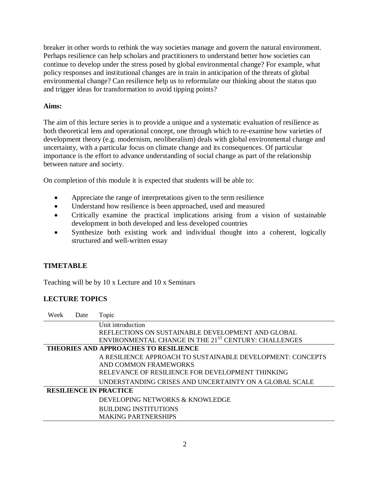breaker in other words to rethink the way societies manage and govern the natural environment. Perhaps resilience can help scholars and practitioners to understand better how societies can continue to develop under the stress posed by global environmental change? For example, what policy responses and institutional changes are in train in anticipation of the threats of global environmental change? Can resilience help us to reformulate our thinking about the status quo and trigger ideas for transformation to avoid tipping points?

## **Aims:**

The aim of this lecture series is to provide a unique and a systematic evaluation of resilience as both theoretical lens and operational concept, one through which to re-examine how varieties of development theory (e.g. modernism, neoliberalism) deals with global environmental change and uncertainty, with a particular focus on climate change and its consequences. Of particular importance is the effort to advance understanding of social change as part of the relationship between nature and society.

On completion of this module it is expected that students will be able to:

- Appreciate the range of interpretations given to the term resilience
- Understand how resilience is been approached, used and measured
- Critically examine the practical implications arising from a vision of sustainable development in both developed and less developed countries
- Synthesize both existing work and individual thought into a coherent, logically structured and well-written essay

## **TIMETABLE**

Teaching will be by 10 x Lecture and 10 x Seminars

## **LECTURE TOPICS**

| Week                                         | Date | Topic                                                      |
|----------------------------------------------|------|------------------------------------------------------------|
|                                              |      | Unit introduction                                          |
|                                              |      | REFLECTIONS ON SUSTAINABLE DEVELOPMENT AND GLOBAL          |
|                                              |      | ENVIRONMENTAL CHANGE IN THE 21ST CENTURY: CHALLENGES       |
| <b>THEORIES AND APPROACHES TO RESILIENCE</b> |      |                                                            |
|                                              |      | A RESILIENCE APPROACH TO SUSTAINABLE DEVELOPMENT: CONCEPTS |
|                                              |      | AND COMMON FRAMEWORKS                                      |
|                                              |      | RELEVANCE OF RESILIENCE FOR DEVELOPMENT THINKING           |
|                                              |      | UNDERSTANDING CRISES AND UNCERTAINTY ON A GLOBAL SCALE     |
| <b>RESILIENCE IN PRACTICE</b>                |      |                                                            |
|                                              |      | DEVELOPING NETWORKS & KNOWLEDGE                            |
|                                              |      | <b>BUILDING INSTITUTIONS</b>                               |
|                                              |      | <b>MAKING PARTNERSHIPS</b>                                 |
|                                              |      |                                                            |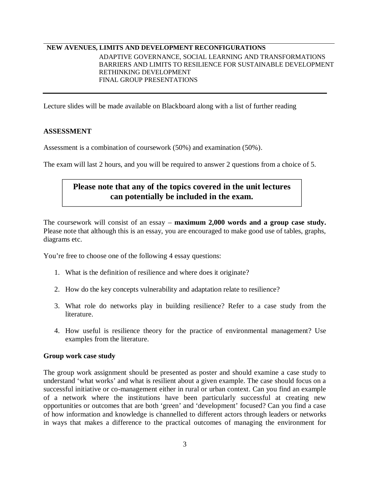### **NEW AVENUES, LIMITS AND DEVELOPMENT RECONFIGURATIONS**

ADAPTIVE GOVERNANCE, SOCIAL LEARNING AND TRANSFORMATIONS BARRIERS AND LIMITS TO RESILIENCE FOR SUSTAINABLE DEVELOPMENT RETHINKING DEVELOPMENT FINAL GROUP PRESENTATIONS

Lecture slides will be made available on Blackboard along with a list of further reading

#### **ASSESSMENT**

Assessment is a combination of coursework (50%) and examination (50%).

The exam will last 2 hours, and you will be required to answer 2 questions from a choice of 5.

# **Please note that any of the topics covered in the unit lectures can potentially be included in the exam.**

The coursework will consist of an essay – **maximum 2,000 words and a group case study.** Please note that although this is an essay, you are encouraged to make good use of tables, graphs, diagrams etc.

You're free to choose one of the following 4 essay questions:

- 1. What is the definition of resilience and where does it originate?
- 2. How do the key concepts vulnerability and adaptation relate to resilience?
- 3. What role do networks play in building resilience? Refer to a case study from the literature.
- 4. How useful is resilience theory for the practice of environmental management? Use examples from the literature.

#### **Group work case study**

The group work assignment should be presented as poster and should examine a case study to understand 'what works' and what is resilient about a given example. The case should focus on a successful initiative or co-management either in rural or urban context. Can you find an example of a network where the institutions have been particularly successful at creating new opportunities or outcomes that are both 'green' and 'development' focused? Can you find a case of how information and knowledge is channelled to different actors through leaders or networks in ways that makes a difference to the practical outcomes of managing the environment for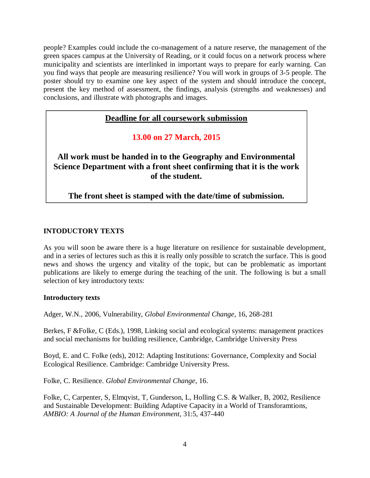people? Examples could include the co-management of a nature reserve, the management of the green spaces campus at the University of Reading, or it could focus on a network process where municipality and scientists are interlinked in important ways to prepare for early warning. Can you find ways that people are measuring resilience? You will work in groups of 3-5 people. The poster should try to examine one key aspect of the system and should introduce the concept, present the key method of assessment, the findings, analysis (strengths and weaknesses) and conclusions, and illustrate with photographs and images.

## **Deadline for all coursework submission**

**13.00 on 27 March, 2015**

**All work must be handed in to the Geography and Environmental Science Department with a front sheet confirming that it is the work of the student.** 

**The front sheet is stamped with the date/time of submission.**

### **INTODUCTORY TEXTS**

As you will soon be aware there is a huge literature on resilience for sustainable development, and in a series of lectures such as this it is really only possible to scratch the surface. This is good news and shows the urgency and vitality of the topic, but can be problematic as important publications are likely to emerge during the teaching of the unit. The following is but a small selection of key introductory texts:

### **Introductory texts**

Adger, W.N., 2006, Vulnerability, *Global Environmental Change*, 16, 268-281

Berkes, F &Folke, C (Eds.), 1998, Linking social and ecological systems: management practices and social mechanisms for building resilience, Cambridge, Cambridge University Press

Boyd, E. and C. Folke (eds), 2012: Adapting Institutions: Governance, Complexity and Social Ecological Resilience. Cambridge: Cambridge University Press.

Folke, C. Resilience. *Global Environmental Change*, 16.

Folke, C, Carpenter, S, Elmqvist, T, Gunderson, L, Holling C.S. & Walker, B, 2002, Resilience and Sustainable Development: Building Adaptive Capacity in a World of Transforamtions, *AMBIO: A Journal of the Human Environment*, 31:5, 437-440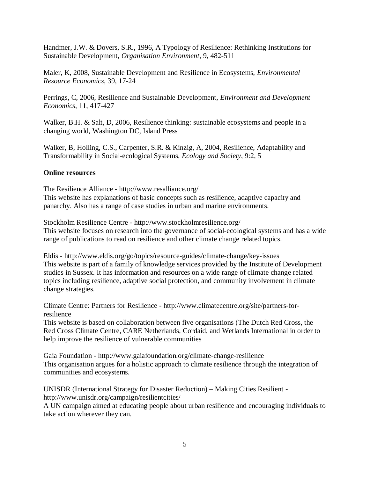Handmer, J.W. & Dovers, S.R., 1996, A Typology of Resilience: Rethinking Institutions for Sustainable Development, *Organisation Environment*, 9, 482-511

Maler, K, 2008, Sustainable Development and Resilience in Ecosystems, *Environmental Resource Economics,* 39, 17-24

Perrings, C, 2006, Resilience and Sustainable Development, *Environment and Development Economics*, 11, 417-427

Walker, B.H. & Salt, D, 2006, Resilience thinking: sustainable ecosystems and people in a changing world, Washington DC, Island Press

Walker, B, Holling, C.S., Carpenter, S.R. & Kinzig, A, 2004, Resilience, Adaptability and Transformability in Social-ecological Systems, *Ecology and Society*, 9:2, 5

### **Online resources**

The Resilience Alliance - http://www.resalliance.org/ This website has explanations of basic concepts such as resilience, adaptive capacity and panarchy. Also has a range of case studies in urban and marine environments.

Stockholm Resilience Centre - http://www.stockholmresilience.org/ This website focuses on research into the governance of social-ecological systems and has a wide range of publications to read on resilience and other climate change related topics.

Eldis - http://www.eldis.org/go/topics/resource-guides/climate-change/key-issues This website is part of a family of knowledge services provided by the Institute of Development studies in Sussex. It has information and resources on a wide range of climate change related topics including resilience, adaptive social protection, and community involvement in climate change strategies.

Climate Centre: Partners for Resilience - http://www.climatecentre.org/site/partners-forresilience

This website is based on collaboration between five organisations (The Dutch Red Cross, the Red Cross Climate Centre, CARE Netherlands, Cordaid, and Wetlands International in order to help improve the resilience of vulnerable communities

Gaia Foundation - http://www.gaiafoundation.org/climate-change-resilience This organisation argues for a holistic approach to climate resilience through the integration of communities and ecosystems.

UNISDR (International Strategy for Disaster Reduction) – Making Cities Resilient http://www.unisdr.org/campaign/resilientcities/

A UN campaign aimed at educating people about urban resilience and encouraging individuals to take action wherever they can.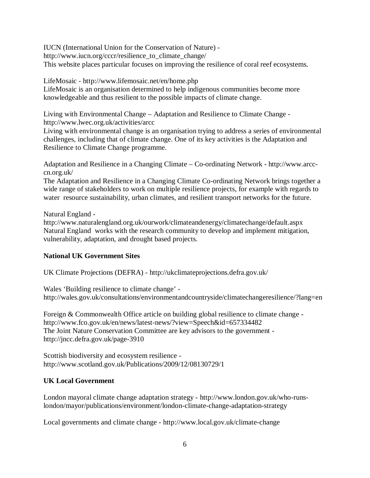IUCN (International Union for the Conservation of Nature) http://www.iucn.org/cccr/resilience\_to\_climate\_change/ This website places particular focuses on improving the resilience of coral reef ecosystems.

LifeMosaic - http://www.lifemosaic.net/en/home.php

LifeMosaic is an organisation determined to help indigenous communities become more knowledgeable and thus resilient to the possible impacts of climate change.

Living with Environmental Change – Adaptation and Resilience to Climate Change http://www.lwec.org.uk/activities/arcc

Living with environmental change is an organisation trying to address a series of environmental challenges, including that of climate change. One of its key activities is the Adaptation and Resilience to Climate Change programme.

Adaptation and Resilience in a Changing Climate – Co-ordinating Network - http://www.arcccn.org.uk/

The Adaptation and Resilience in a Changing Climate Co-ordinating Network brings together a wide range of stakeholders to work on multiple resilience projects, for example with regards to water resource sustainability, urban climates, and resilient transport networks for the future.

Natural England -

http://www.naturalengland.org.uk/ourwork/climateandenergy/climatechange/default.aspx Natural England works with the research community to develop and implement mitigation, vulnerability, adaptation, and drought based projects.

## **National UK Government Sites**

UK Climate Projections (DEFRA) - http://ukclimateprojections.defra.gov.uk/

Wales 'Building resilience to climate change' http://wales.gov.uk/consultations/environmentandcountryside/climatechangeresilience/?lang=en

Foreign & Commonwealth Office article on building global resilience to climate change http://www.fco.gov.uk/en/news/latest-news/?view=Speech&id=657334482 The Joint Nature Conservation Committee are key advisors to the government http://jncc.defra.gov.uk/page-3910

Scottish biodiversity and ecosystem resilience http://www.scotland.gov.uk/Publications/2009/12/08130729/1

## **UK Local Government**

London mayoral climate change adaptation strategy - http://www.london.gov.uk/who-runslondon/mayor/publications/environment/london-climate-change-adaptation-strategy

Local governments and climate change - http://www.local.gov.uk/climate-change